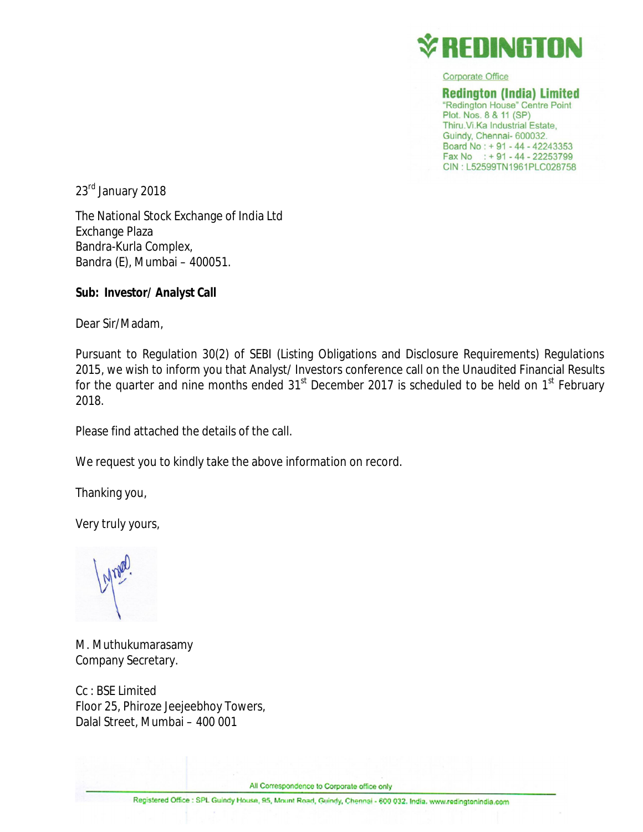

**Corporate Office** 

**Redinaton (India) Limited** "Redington House" Centre Point Plot. Nos. 8 & 11 (SP) Thiru. Vi. Ka Industrial Estate. Guindy, Chennai- 600032. Board No: + 91 - 44 - 42243353 Fax No : +91 - 44 - 22253799 CIN: L52599TN1961PLC028758

23<sup>rd</sup> January 2018

The National Stock Exchange of India Ltd Exchange Plaza Bandra-Kurla Complex, Bandra (E), Mumbai – 400051.

### **Sub: Investor/ Analyst Call**

Dear Sir/Madam,

Pursuant to Regulation 30(2) of SEBI (Listing Obligations and Disclosure Requirements) Regulations 2015, we wish to inform you that Analyst/ Investors conference call on the Unaudited Financial Results for the quarter and nine months ended  $31<sup>st</sup>$  December 2017 is scheduled to be held on  $1<sup>st</sup>$  February 2018.

Please find attached the details of the call.

We request you to kindly take the above information on record.

Thanking you,

Very truly yours,

M. Muthukumarasamy Company Secretary.

Cc : BSE Limited Floor 25, Phiroze Jeejeebhoy Towers, Dalal Street, Mumbai – 400 001

All Correspondence to Corporate office only